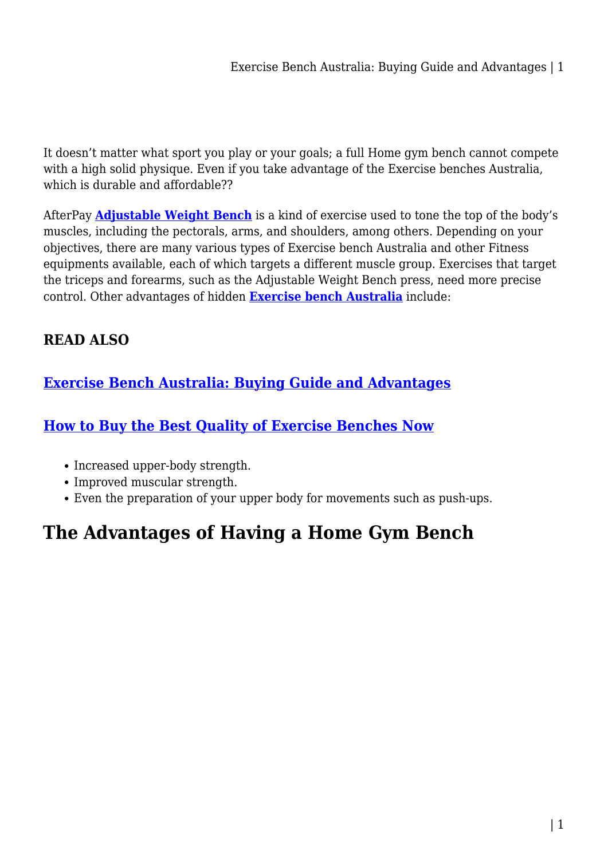It doesn't matter what sport you play or your goals; a full Home gym bench cannot compete with a high solid physique. Even if you take advantage of the Exercise benches Australia, which is durable and affordable??

AfterPay **[Adjustable Weight Bench](https://fitnessequipments.com.au/exercise-benches/)** is a kind of exercise used to tone the top of the body's muscles, including the pectorals, arms, and shoulders, among others. Depending on your objectives, there are many various types of Exercise bench Australia and other Fitness equipments available, each of which targets a different muscle group. Exercises that target the triceps and forearms, such as the Adjustable Weight Bench press, need more precise control. Other advantages of hidden **[Exercise bench Australia](https://fitnessequipments.com.au/exercise-benches/)** include:

#### **READ ALSO**

#### **[Exercise Bench Australia: Buying Guide and Advantages](https://power-battery.com.au/exercise-bench-australia-buying-guide-and-advantages/)**

#### **[How to Buy the Best Quality of Exercise Benches Now](https://power-battery.com.au/how-to-buy-the-best-quality-of-exercise-benches-now/)**

- Increased upper-body strength.
- Improved muscular strength.
- Even the preparation of your upper body for movements such as push-ups.

# **The Advantages of Having a Home Gym Bench**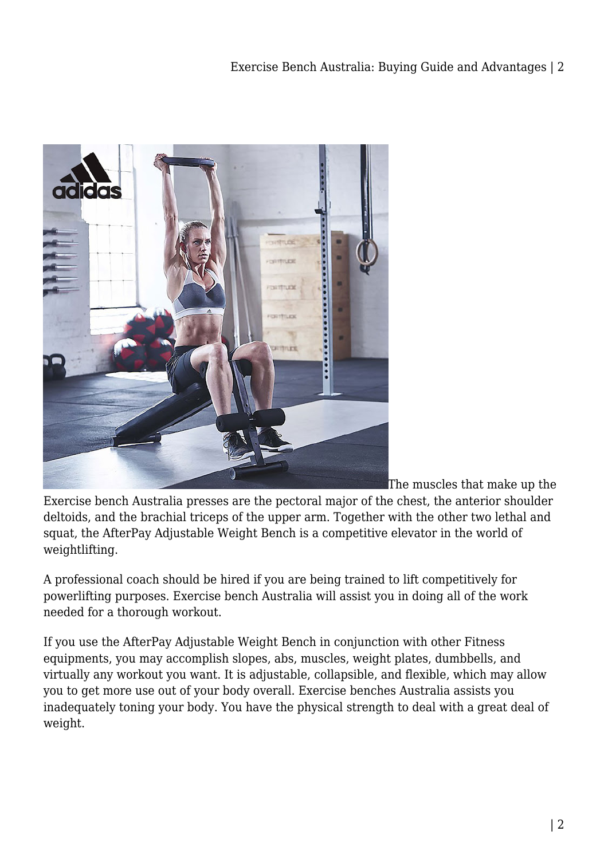

The muscles that make up the

Exercise bench Australia presses are the pectoral major of the chest, the anterior shoulder deltoids, and the brachial triceps of the upper arm. Together with the other two lethal and squat, the AfterPay Adjustable Weight Bench is a competitive elevator in the world of weightlifting.

A professional coach should be hired if you are being trained to lift competitively for powerlifting purposes. Exercise bench Australia will assist you in doing all of the work needed for a thorough workout.

If you use the AfterPay Adjustable Weight Bench in conjunction with other Fitness equipments, you may accomplish slopes, abs, muscles, weight plates, dumbbells, and virtually any workout you want. It is adjustable, collapsible, and flexible, which may allow you to get more use out of your body overall. Exercise benches Australia assists you inadequately toning your body. You have the physical strength to deal with a great deal of weight.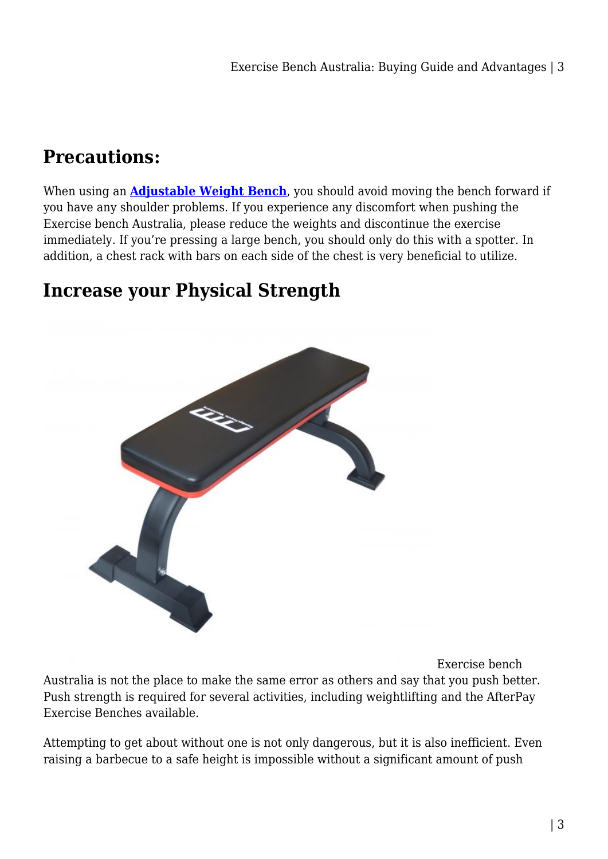## **Precautions:**

When using an **[Adjustable Weight Bench](https://fitnessequipments.com.au/exercise-benches/)**, you should avoid moving the bench forward if you have any shoulder problems. If you experience any discomfort when pushing the Exercise bench Australia, please reduce the weights and discontinue the exercise immediately. If you're pressing a large bench, you should only do this with a spotter. In addition, a chest rack with bars on each side of the chest is very beneficial to utilize.

#### **Increase your Physical Strength**



Exercise bench Australia is not the place to make the same error as others and say that you push better. Push strength is required for several activities, including weightlifting and the AfterPay Exercise Benches available.

Attempting to get about without one is not only dangerous, but it is also inefficient. Even raising a barbecue to a safe height is impossible without a significant amount of push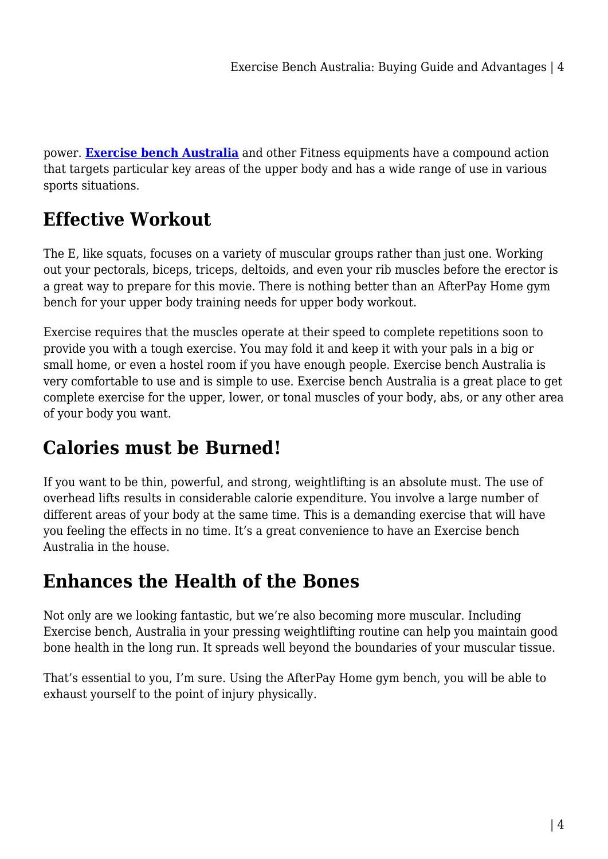power. **[Exercise bench Australia](https://fitnessequipments.com.au/aerobic-step-bench/)** and other Fitness equipments have a compound action that targets particular key areas of the upper body and has a wide range of use in various sports situations.

## **Effective Workout**

The E, like squats, focuses on a variety of muscular groups rather than just one. Working out your pectorals, biceps, triceps, deltoids, and even your rib muscles before the erector is a great way to prepare for this movie. There is nothing better than an AfterPay Home gym bench for your upper body training needs for upper body workout.

Exercise requires that the muscles operate at their speed to complete repetitions soon to provide you with a tough exercise. You may fold it and keep it with your pals in a big or small home, or even a hostel room if you have enough people. Exercise bench Australia is very comfortable to use and is simple to use. Exercise bench Australia is a great place to get complete exercise for the upper, lower, or tonal muscles of your body, abs, or any other area of your body you want.

## **Calories must be Burned!**

If you want to be thin, powerful, and strong, weightlifting is an absolute must. The use of overhead lifts results in considerable calorie expenditure. You involve a large number of different areas of your body at the same time. This is a demanding exercise that will have you feeling the effects in no time. It's a great convenience to have an Exercise bench Australia in the house.

#### **Enhances the Health of the Bones**

Not only are we looking fantastic, but we're also becoming more muscular. Including Exercise bench, Australia in your pressing weightlifting routine can help you maintain good bone health in the long run. It spreads well beyond the boundaries of your muscular tissue.

That's essential to you, I'm sure. Using the AfterPay Home gym bench, you will be able to exhaust yourself to the point of injury physically.